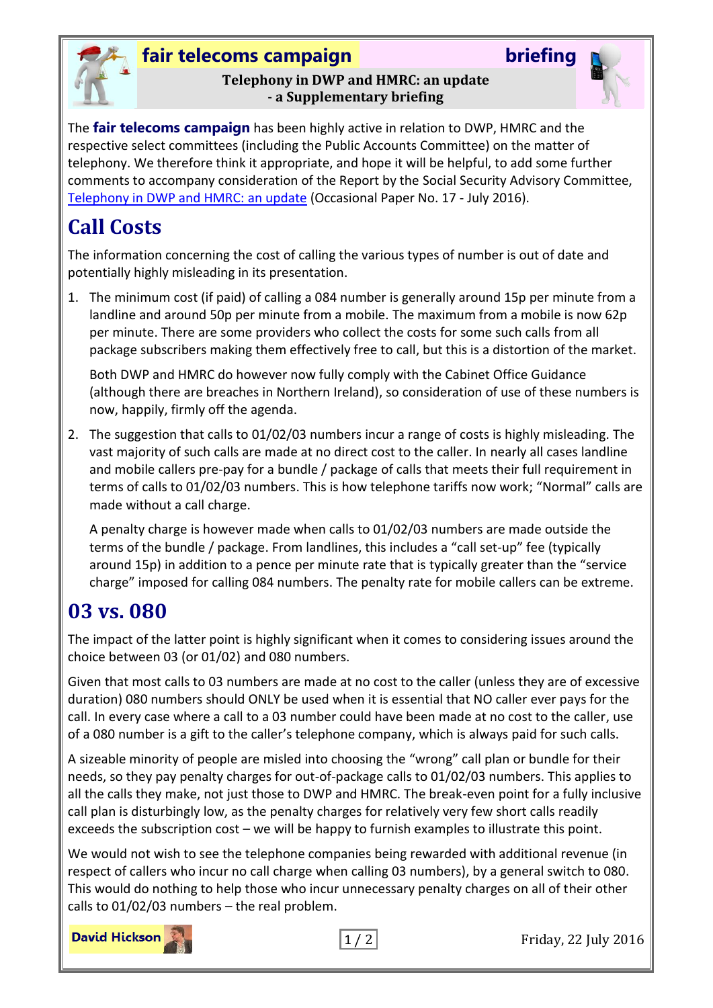

### **fair telecoms campaign briefing**

#### **Telephony in DWP and HMRC: an update - a Supplementary briefing**



The **fair telecoms campaign** has been highly active in relation to DWP, HMRC and the respective select committees (including the Public Accounts Committee) on the matter of telephony. We therefore think it appropriate, and hope it will be helpful, to add some further comments to accompany consideration of the Report by the Social Security Advisory Committee, [Telephony in DWP and HMRC: an update](https://www.gov.uk/government/uploads/system/uploads/attachment_data/file/538834/telephony-in-dwp-and-hmrc-an-update-op17.pdf) (Occasional Paper No. 17 - July 2016).

# **Call Costs**

The information concerning the cost of calling the various types of number is out of date and potentially highly misleading in its presentation.

1. The minimum cost (if paid) of calling a 084 number is generally around 15p per minute from a landline and around 50p per minute from a mobile. The maximum from a mobile is now 62p per minute. There are some providers who collect the costs for some such calls from all package subscribers making them effectively free to call, but this is a distortion of the market.

Both DWP and HMRC do however now fully comply with the Cabinet Office Guidance (although there are breaches in Northern Ireland), so consideration of use of these numbers is now, happily, firmly off the agenda.

2. The suggestion that calls to 01/02/03 numbers incur a range of costs is highly misleading. The vast majority of such calls are made at no direct cost to the caller. In nearly all cases landline and mobile callers pre-pay for a bundle / package of calls that meets their full requirement in terms of calls to 01/02/03 numbers. This is how telephone tariffs now work; "Normal" calls are made without a call charge.

A penalty charge is however made when calls to 01/02/03 numbers are made outside the terms of the bundle / package. From landlines, this includes a "call set-up" fee (typically around 15p) in addition to a pence per minute rate that is typically greater than the "service charge" imposed for calling 084 numbers. The penalty rate for mobile callers can be extreme.

## **03 vs. 080**

The impact of the latter point is highly significant when it comes to considering issues around the choice between 03 (or 01/02) and 080 numbers.

Given that most calls to 03 numbers are made at no cost to the caller (unless they are of excessive duration) 080 numbers should ONLY be used when it is essential that NO caller ever pays for the call. In every case where a call to a 03 number could have been made at no cost to the caller, use of a 080 number is a gift to the caller's telephone company, which is always paid for such calls.

A sizeable minority of people are misled into choosing the "wrong" call plan or bundle for their needs, so they pay penalty charges for out-of-package calls to 01/02/03 numbers. This applies to all the calls they make, not just those to DWP and HMRC. The break-even point for a fully inclusive call plan is disturbingly low, as the penalty charges for relatively very few short calls readily exceeds the subscription cost – we will be happy to furnish examples to illustrate this point.

We would not wish to see the telephone companies being rewarded with additional revenue (in respect of callers who incur no call charge when calling 03 numbers), by a general switch to 080. This would do nothing to help those who incur unnecessary penalty charges on all of their other calls to 01/02/03 numbers – the real problem.